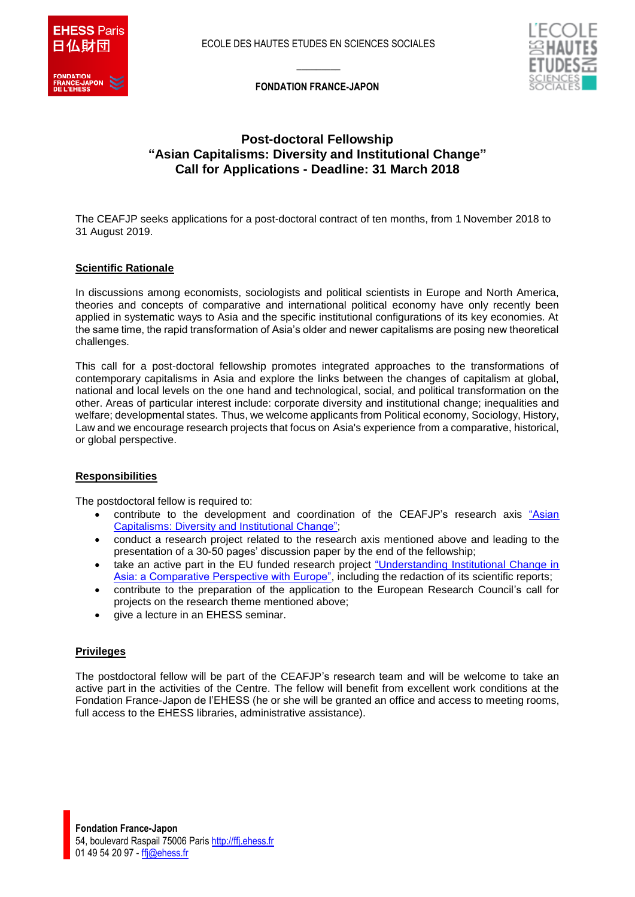



 $\overline{\phantom{a}}$ **FONDATION FRANCE-JAPON**

# **Post-doctoral Fellowship "Asian Capitalisms: Diversity and Institutional Change" Call for Applications - Deadline: 31 March 2018**

The CEAFJP seeks applications for a post-doctoral contract of ten months, from 1 November 2018 to 31 August 2019.

### **Scientific Rationale**

In discussions among economists, sociologists and political scientists in Europe and North America, theories and concepts of comparative and international political economy have only recently been applied in systematic ways to Asia and the specific institutional configurations of its key economies. At the same time, the rapid transformation of Asia's older and newer capitalisms are posing new theoretical challenges.

This call for a post-doctoral fellowship promotes integrated approaches to the transformations of contemporary capitalisms in Asia and explore the links between the changes of capitalism at global, national and local levels on the one hand and technological, social, and political transformation on the other. Areas of particular interest include: corporate diversity and institutional change; inequalities and welfare; developmental states. Thus, we welcome applicants from Political economy, Sociology, History, Law and we encourage research projects that focus on Asia's experience from a comparative, historical, or global perspective.

### **Responsibilities**

The postdoctoral fellow is required to:

- contribute to the development and coordination of the CEAFJP's research axis ["Asian](http://ffj.ehess.fr/axe_1.html)  [Capitalisms: Diversity and Institutional Change";](http://ffj.ehess.fr/axe_1.html)
- conduct a research project related to the research axis mentioned above and leading to the presentation of a 30-50 pages' discussion paper by the end of the fellowship;
- take an active part in the EU funded research project "Understanding Institutional Change in [Asia: a Comparative Perspective with Europe",](https://incas.hypotheses.org/about-the-incas-project) including the redaction of its scientific reports;
- contribute to the preparation of the application to the European Research Council's call for projects on the research theme mentioned above;
- give a lecture in an EHESS seminar.

### **Privileges**

The postdoctoral fellow will be part of the CEAFJP's research team and will be welcome to take an active part in the activities of the Centre. The fellow will benefit from excellent work conditions at the Fondation France-Japon de l'EHESS (he or she will be granted an office and access to meeting rooms, full access to the EHESS libraries, administrative assistance).